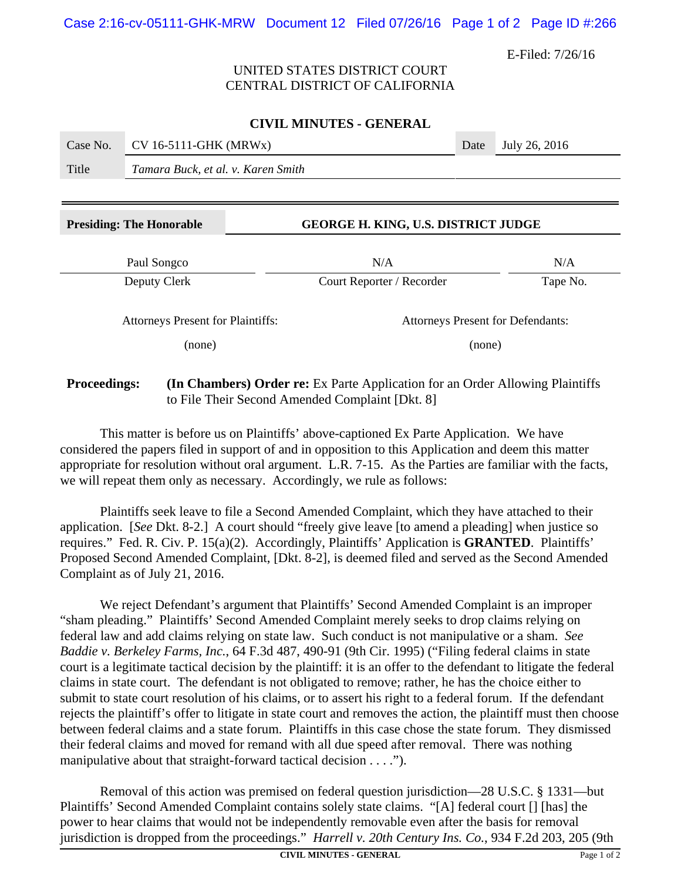E-Filed: 7/26/16

# UNITED STATES DISTRICT COURT CENTRAL DISTRICT OF CALIFORNIA

## **CIVIL MINUTES - GENERAL**

| Case No. | $CV 16-5111-GHK (MRWx)$            | Date | July 26, 2016 |
|----------|------------------------------------|------|---------------|
| Title    | Tamara Buck, et al. v. Karen Smith |      |               |
|          |                                    |      |               |

## **Presiding: The Honorable GEORGE H. KING, U.S. DISTRICT JUDGE**

| Paul Songco                              | N/A                       | N/A                                      |  |  |
|------------------------------------------|---------------------------|------------------------------------------|--|--|
| Deputy Clerk                             | Court Reporter / Recorder | Tape No.                                 |  |  |
| <b>Attorneys Present for Plaintiffs:</b> |                           | <b>Attorneys Present for Defendants:</b> |  |  |
| (none)                                   | (none)                    |                                          |  |  |

# **Proceedings:** (In Chambers) Order re: Ex Parte Application for an Order Allowing Plaintiffs to File Their Second Amended Complaint [Dkt. 8]

This matter is before us on Plaintiffs' above-captioned Ex Parte Application. We have considered the papers filed in support of and in opposition to this Application and deem this matter appropriate for resolution without oral argument. L.R. 7-15. As the Parties are familiar with the facts, we will repeat them only as necessary. Accordingly, we rule as follows:

Plaintiffs seek leave to file a Second Amended Complaint, which they have attached to their application. [*See* Dkt. 8-2.] A court should "freely give leave [to amend a pleading] when justice so requires." Fed. R. Civ. P. 15(a)(2). Accordingly, Plaintiffs' Application is **GRANTED**. Plaintiffs' Proposed Second Amended Complaint, [Dkt. 8-2], is deemed filed and served as the Second Amended Complaint as of July 21, 2016.

We reject Defendant's argument that Plaintiffs' Second Amended Complaint is an improper "sham pleading." Plaintiffs' Second Amended Complaint merely seeks to drop claims relying on federal law and add claims relying on state law. Such conduct is not manipulative or a sham. *See Baddie v. Berkeley Farms, Inc.*, 64 F.3d 487, 490-91 (9th Cir. 1995) ("Filing federal claims in state court is a legitimate tactical decision by the plaintiff: it is an offer to the defendant to litigate the federal claims in state court. The defendant is not obligated to remove; rather, he has the choice either to submit to state court resolution of his claims, or to assert his right to a federal forum. If the defendant rejects the plaintiff's offer to litigate in state court and removes the action, the plaintiff must then choose between federal claims and a state forum. Plaintiffs in this case chose the state forum. They dismissed their federal claims and moved for remand with all due speed after removal. There was nothing manipulative about that straight-forward tactical decision . . . .").

Removal of this action was premised on federal question jurisdiction—28 U.S.C. § 1331—but Plaintiffs' Second Amended Complaint contains solely state claims. "[A] federal court [] [has] the power to hear claims that would not be independently removable even after the basis for removal jurisdiction is dropped from the proceedings." *Harrell v. 20th Century Ins. Co.*, 934 F.2d 203, 205 (9th